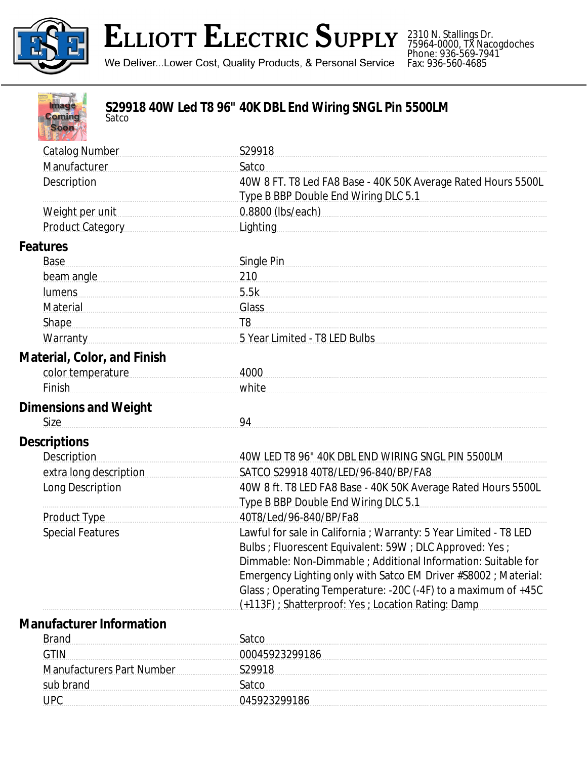

## **ELLIOTT ELECTRIC SUPPLY**

2310 N. Stallings Dr. 75964-0000, TX Nacogdoches Phone: 936-569-7941 Fax: 936-560-4685

We Deliver...Lower Cost, Quality Products, & Personal Service

| <b>Image</b><br><b>Coming</b><br>Satco<br><b>Soon</b> | S29918 40W Led T8 96" 40K DBL End Wiring SNGL Pin 5500LM                                                                       |
|-------------------------------------------------------|--------------------------------------------------------------------------------------------------------------------------------|
| <b>Catalog Number</b>                                 | S29918                                                                                                                         |
| Manufacturer                                          | Satco                                                                                                                          |
| Description                                           | 40W 8 FT. T8 Led FA8 Base - 40K 50K Average Rated Hours 5500L                                                                  |
|                                                       | Type B BBP Double End Wiring DLC 5.1                                                                                           |
| Weight per unit                                       | 0.8800 (lbs/each) 2000 0.8800 (lbs/each)                                                                                       |
| Product Category                                      | Lighting                                                                                                                       |
| Features                                              |                                                                                                                                |
| Base                                                  | Single Pin                                                                                                                     |
| beam angle                                            | 210                                                                                                                            |
| lumens                                                | 5.5k                                                                                                                           |
| Material Material                                     | Glass                                                                                                                          |
| <b>Shape</b>                                          | T <sub>8</sub>                                                                                                                 |
| <b>Warranty</b>                                       | 5 Year Limited - T8 LED Bulbs                                                                                                  |
| Material, Color, and Finish                           |                                                                                                                                |
| color temperature                                     | 4000                                                                                                                           |
| Finish                                                | white                                                                                                                          |
| <b>Dimensions and Weight</b>                          |                                                                                                                                |
| <b>Size</b>                                           | 94                                                                                                                             |
| <b>Descriptions</b>                                   |                                                                                                                                |
| <b>Description</b>                                    | 40W LED T8 96" 40K DBL END WIRING SNGL PIN 5500LM                                                                              |
| extra long description                                | SATCO S29918 40T8/LED/96-840/BP/FA8                                                                                            |
| Long Description                                      | 40W 8 ft. T8 LED FA8 Base - 40K 50K Average Rated Hours 5500L                                                                  |
|                                                       | Type B BBP Double End Wiring DLC 5.1                                                                                           |
| Product Type                                          | 40T8/Led/96-840/BP/Fa8                                                                                                         |
| <b>Special Features</b>                               | Lawful for sale in California ; Warranty: 5 Year Limited - T8 LED<br>Bulbs ; Fluorescent Equivalent: 59W ; DLC Approved: Yes ; |
|                                                       | Dimmable: Non-Dimmable ; Additional Information: Suitable for                                                                  |
|                                                       | Emergency Lighting only with Satco EM Driver #S8002 ; Material:                                                                |
|                                                       | Glass ; Operating Temperature: -20C (-4F) to a maximum of +45C                                                                 |
|                                                       | (+113F) ; Shatterproof: Yes ; Location Rating: Damp                                                                            |
| <b>Manufacturer Information</b>                       |                                                                                                                                |
| <b>Brand</b>                                          | Satco                                                                                                                          |
| <b>GTIN</b>                                           | 00045923299186                                                                                                                 |
| Manufacturers Part Number                             | S29918                                                                                                                         |
| sub brand                                             | Satco                                                                                                                          |

UPC 045923299186